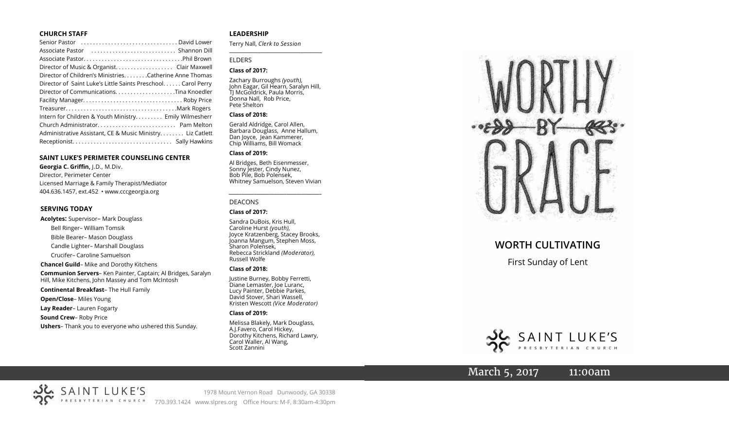#### **CHURCH STAFF**

| Senior Pastor  David Lower                                   |
|--------------------------------------------------------------|
|                                                              |
|                                                              |
| Director of Music & Organist. Clair Maxwell                  |
| Director of Children's Ministries. Catherine Anne Thomas     |
| Director of Saint Luke's Little Saints Preschool Carol Perry |
| Director of CommunicationsTina Knoedler                      |
|                                                              |
|                                                              |
| Intern for Children & Youth Ministry Emily Wilmesherr        |
|                                                              |
| Administrative Assistant, CE & Music Ministry. Liz Catlett   |
|                                                              |

#### **SAINT LUKE'S PERIMETER COUNSELING CENTER**

**Georgia C. Griffin,** J.D., M.Div. Director, Perimeter Center Licensed Marriage & Family Therapist/Mediator 404.636.1457, ext.452 • www.cccgeorgia.org

#### **SERVING TODAY**

**Acolytes:** Supervisor– Mark Douglass Bell Ringer– William Tomsik Bible Bearer– Mason Douglass Candle Lighter– Marshall Douglass Crucifer– Caroline Samuelson **Chancel Guild**– Mike and Dorothy Kitchens **Communion Servers**– Ken Painter, Captain; Al Bridges, Saralyn Hill, Mike Kitchens, John Massey and Tom McIntosh **Continental Breakfast**– The Hull Family

#### **Open/Close**– Miles Young

**Lay Reader**– Lauren Fogarty

- **Sound Crew** Roby Price
- **Ushers** Thank you to everyone who ushered this Sunday.

#### **LEADERSHIP**

Terry Nall, *Clerk to Session* 

**\_\_\_\_\_\_\_\_\_\_\_\_\_\_\_\_\_\_\_\_\_\_\_\_\_\_\_\_\_\_\_\_\_\_\_\_\_\_\_**

#### ELDERS

#### **Class of 2017:**

Zachary Burroughs *(youth),*  John Eagar, Gil Hearn, Saralyn Hill, TJ McGoldrick, Paula Morris, Donna Nall, Rob Price, Pete Shelton

#### **Class of 2018:**

Gerald Aldridge, Carol Allen, Barbara Douglass, Anne Hallum, Dan Joyce, Jean Kammerer, Chip Williams, Bill Womack

#### **Class of 2019:**

Al Bridges, Beth Eisenmesser, Sonny Jester, Cindy Nunez, Bob Pile, Bob Polensek, Whitney Samuelson, Steven Vivian

*\_\_\_\_\_\_\_\_\_\_\_\_\_\_\_\_\_\_\_\_\_\_\_\_\_\_\_\_\_\_\_\_\_\_\_\_\_*

#### DEACONS

#### **Class of 2017:**

Sandra DuBois, Kris Hull, Caroline Hurst *(youth),* Joyce Kratzenberg, Stacey Brooks, Joanna Mangum, Stephen Moss, Sharon Polensek, Rebecca Strickland *(Moderator),*  Russell Wolfe

#### **Class of 2018:**

Justine Burney, Bobby Ferretti, Diane Lemaster, Joe Luranc, Lucy Painter, Debbie Parkes, David Stover, Shari Wassell, Kristen Wescott *(Vice Moderator)*

#### **Class of 2019:**

Melissa Blakely, Mark Douglass, A.J.Favero, Carol Hickey, Dorothy Kitchens, Richard Lawry, Carol Waller, Al Wang, Scott Zannini



# **WORTH CULTIVATING**

First Sunday of Lent



March 5, 2017 11:00am



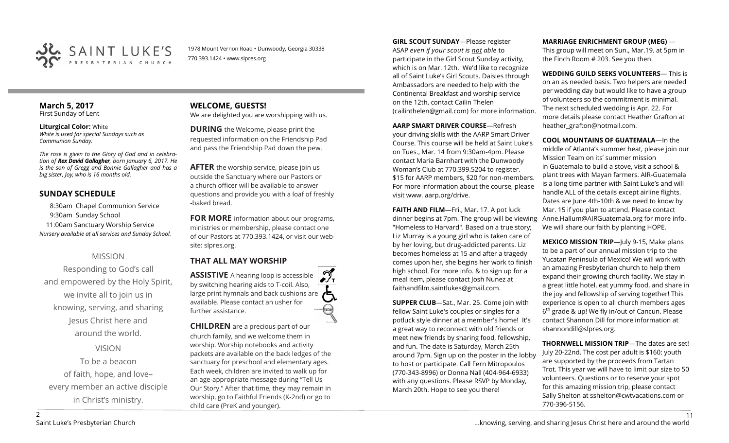

1978 Mount Vernon Road • Dunwoody, Georgia 30338 770.393.1424 • www.slpres.org

#### **March 5, 2017**  First Sunday of Lent

**Liturgical Color:** White *White is used for special Sundays such as Communion Sunday.*

*The rose is given to the Glory of God and in celebration of Rex David Gallagher, born January 6, 2017. He is the son of Gregg and Bonnie Gallagher and has a big sister, Joy, who is 16 months old.*

## **SUNDAY SCHEDULE**

8:30am Chapel Communion Service 9:30am Sunday School 11:00am Sanctuary Worship Service *Nursery available at all services and Sunday School.*

## MISSION

Responding to God's call and empowered by the Holy Spirit, we invite all to join us in knowing, serving, and sharing Jesus Christ here and around the world.

VISION

To be a beacon of faith, hope, and love– every member an active disciple in Christ's ministry.

#### **WELCOME, GUESTS!**  We are delighted you are worshipping with us.

**DURING** the Welcome, please print the requested information on the Friendship Pad and pass the Friendship Pad down the pew.

**AFTER** the worship service, please join us outside the Sanctuary where our Pastors or a church officer will be available to answer questions and provide you with a loaf of freshly -baked bread.

**FOR MORE** information about our programs, ministries or membership, please contact one of our Pastors at 770.393.1424, or visit our website: slpres.org.

# **THAT ALL MAY WORSHIP**

**ASSISTIVE** A hearing loop is accessible by switching hearing aids to T-coil. Also, large print hymnals and back cushions are available. Please contact an usher for further assistance.

**CHILDREN** are a precious part of our church family, and we welcome them in worship. Worship notebooks and activity packets are available on the back ledges of the sanctuary for preschool and elementary ages. Each week, children are invited to walk up for an age-appropriate message during "Tell Us Our Story." After that time, they may remain in worship, go to Faithful Friends (K-2nd) or go to child care (PreK and younger).

**GIRL SCOUT SUNDAY**—Please register ASAP *even if your scout is not able* to participate in the Girl Scout Sunday activity, which is on Mar. 12th. We'd like to recognize all of Saint Luke's Girl Scouts. Daisies through Ambassadors are needed to help with the Continental Breakfast and worship service on the 12th, contact Cailin Thelen ([cailinthelen@gmail.com\)](mailto:cailinthelen@gmail.com) for more information.

**AARP SMART DRIVER COURSE**—Refresh your driving skills with the AARP Smart Driver Course. This course will be held at Saint Luke's on Tues., Mar. 14 from 9:30am-4pm. Please contact Maria Barnhart with the Dunwoody Woman's Club at 770.399.5204 to register. \$15 for AARP members, \$20 for non-members. For more information about the course, please visit www. aarp.org/drive.

**FAITH AND FILM**—Fri., Mar. 17. A pot luck dinner begins at 7pm. The group will be viewing "Homeless to Harvard". Based on a true story; Liz Murray is a young girl who is taken care of by her loving, but drug-addicted parents. Liz becomes homeless at 15 and after a tragedy comes upon her, she begins her work to finish high school. For more info. & to sign up for a meal item, please contact Josh Nunez at [faithandfilm.saintlukes@gmail.com.](mailto:faithandfilm.saintlukes@gmail.com)

**SUPPER CLUB**—Sat., Mar. 25. Come join with fellow Saint Luke's couples or singles for a potluck style dinner at a member's home! It's a great way to reconnect with old friends or meet new friends by sharing food, fellowship, and fun. The date is Saturday, March 25th around 7pm. Sign up on the poster in the lobby to host or participate. Call Fern Mitropoulos (770-343-8996) or Donna Nall (404-964-6933) with any questions. Please RSVP by Monday, March 20th. Hope to see you there!

#### **MARRIAGE ENRICHMENT GROUP (MEG)** —

This group will meet on Sun., Mar.19. at 5pm in the Finch Room # 203. See you then.

**WEDDING GUILD SEEKS VOLUNTEERS**— This is on an as needed basis. Two helpers are needed per wedding day but would like to have a group of volunteers so the commitment is minimal. The next scheduled wedding is Apr. 22. For more details please contact Heather Grafton at heather\_grafton@hotmail.com.

**COOL MOUNTAINS OF GUATEMALA**—In the middle of Atlanta's summer heat, please join our Mission Team on its' summer mission in Guatemala to build a stove, visit a school & plant trees with Mayan farmers. AIR-Guatemala is a long time partner with Saint Luke's and will handle ALL of the details except airline flights. Dates are June 4th-10th & we need to know by Mar. 15 if you plan to attend. Please contact Anne.Hallum@AIRGuatemala.org for more info. We will share our faith by planting HOPE.

**MEXICO MISSION TRIP**—July 9-15, Make plans to be a part of our annual mission trip to the Yucatan Peninsula of Mexico! We will work with an amazing Presbyterian church to help them expand their growing church facility. We stay in a great little hotel, eat yummy food, and share in the joy and fellowship of serving together! This experience is open to all church members ages 6<sup>th</sup> grade & up! We fly in/out of Cancun. Please contact Shannon Dill for more information at shannondill@slpres.org.

**THORNWELL MISSION TRIP**—The dates are set! July 20-22nd. The cost per adult is \$160; youth are supported by the proceeds from Tartan Trot. This year we will have to limit our size to 50 volunteers. Questions or to reserve your spot for this amazing mission trip, please contact Sally Shelton at sshelton@cwtvacations.com or 770-396-5156.

11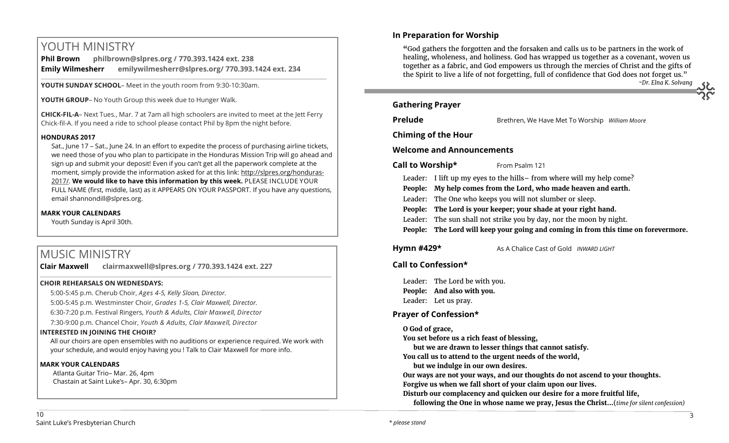# YOUTH MINISTRY

**Phil Brown philbrown@slpres.org / 770.393.1424 ext. 238 Emily Wilmesherr emilywilmesherr@slpres.org/ 770.393.1424 ext. 234**   $\_$  ,  $\_$  ,  $\_$  ,  $\_$  ,  $\_$  ,  $\_$  ,  $\_$  ,  $\_$  ,  $\_$  ,  $\_$  ,  $\_$  ,  $\_$  ,  $\_$  ,  $\_$  ,  $\_$  ,  $\_$  ,  $\_$  ,  $\_$  ,  $\_$  ,  $\_$ 

**YOUTH SUNDAY SCHOOL**– Meet in the youth room from 9:30-10:30am.

**YOUTH GROUP**– No Youth Group this week due to Hunger Walk.

**CHICK-FIL-A**– Next Tues., Mar. 7 at 7am all high schoolers are invited to meet at the Jett Ferry Chick-fil-A. If you need a ride to school please contact Phil by 8pm the night before.

#### **HONDURAS 2017**

Sat., June 17 – Sat., June 24. In an effort to expedite the process of purchasing airline tickets, we need those of you who plan to participate in the Honduras Mission Trip will go ahead and sign up and submit your deposit! Even if you can't get all the paperwork complete at the moment, simply provide the information asked for at this link: [http://slpres.org/honduras](http://slpres.org/honduras-2017/)-[2017/.](http://slpres.org/honduras-2017/) **We would like to have this information by this week.** PLEASE INCLUDE YOUR FULL NAME (first, middle, last) as it APPEARS ON YOUR PASSPORT. If you have any questions, email [shannondill@slpres.org.](mailto:shannondill@slpres.org)

#### **MARK YOUR CALENDARS**

Youth Sunday is April 30th.

# MUSIC MINISTRY

**Clair Maxwell clairmaxwell@slpres.org / 770.393.1424 ext. 227** 

#### **CHOIR REHEARSALS ON WEDNESDAYS:**

5:00-5:45 p.m. Cherub Choir, *Ages 4-5, Kelly Sloan, Director.* 

5:00-5:45 p.m. Westminster Choir, *Grades 1-5, Clair Maxwell, Director.* 

6:30-7:20 p.m. Festival Ringers, *Youth & Adults, Clair Maxwell, Director*

7:30-9:00 p.m. Chancel Choir, *Youth & Adults, Clair Maxwell, Director*

#### **INTERESTED IN JOINING THE CHOIR?**

All our choirs are open ensembles with no auditions or experience required. We work with your schedule, and would enjoy having you ! Talk to Clair Maxwell for more info.

\_\_\_\_\_\_\_\_\_\_\_\_\_\_\_\_\_\_\_\_\_\_\_\_\_\_\_\_\_\_\_\_\_\_\_\_\_\_\_\_\_\_\_\_\_\_\_\_\_\_\_\_\_\_\_\_\_\_\_\_\_\_\_\_\_\_\_\_\_\_\_\_\_\_\_\_\_\_\_\_\_\_\_\_\_\_\_\_\_\_\_\_\_\_\_\_\_\_\_\_

#### **MARK YOUR CALENDARS**

Atlanta Guitar Trio– Mar. 26, 4pm Chastain at Saint Luke's– Apr. 30, 6:30pm

# **In Preparation for Worship**

**"**God gathers the forgotten and the forsaken and calls us to be partners in the work of healing, wholeness, and holiness. God has wrapped us together as a covenant, woven us together as a fabric, and God empowers us through the mercies of Christ and the gifts of the Spirit to live a life of not forgetting, full of confidence that God does not forget us." *~Dr. Elna K. Solvang*

**Gathering Prayer**

**Prelude** Brethren, We Have Met To Worship *William Moore* 

**Chiming of the Hour**

## **Welcome and Announcements**

**Call to Worship\*** From Psalm 121

Leader: I lift up my eyes to the hills– from where will my help come?

**People: My help comes from the Lord, who made heaven and earth.**

- Leader: The One who keeps you will not slumber or sleep.
- **People: The Lord is your keeper; your shade at your right hand.**
- Leader: The sun shall not strike you by day, nor the moon by night.
- **People: The Lord will keep your going and coming in from this time on forevermore.**

## **Hymn #429\*** As A Chalice Cast of Gold *INWARD LIGHT*

## **Call to Confession\***

Leader: The Lord be with you. **People: And also with you.** Leader: Let us pray.

# **Prayer of Confession\***

**O God of grace,**

**You set before us a rich feast of blessing,** 

**but we are drawn to lesser things that cannot satisfy.**

**You call us to attend to the urgent needs of the world,** 

**but we indulge in our own desires.**

**Our ways are not your ways, and our thoughts do not ascend to your thoughts. Forgive us when we fall short of your claim upon our lives.**

**Disturb our complacency and quicken our desire for a more fruitful life,**

**following the One in whose name we pray, Jesus the Christ…**(*time for silent confession)*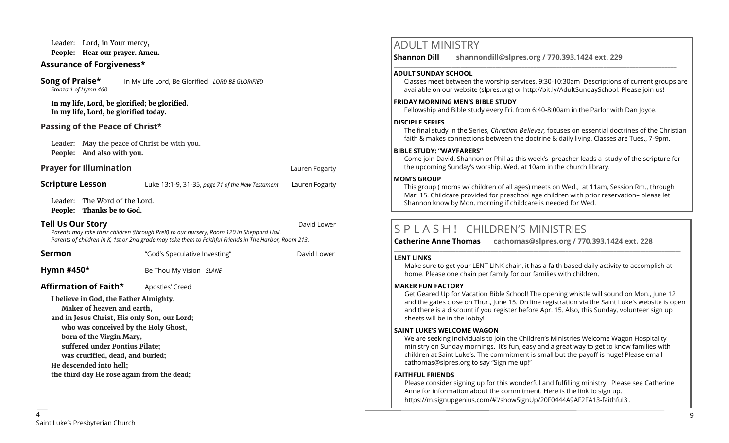Leader: Lord, in Your mercy, **People: Hear our prayer. Amen.**

## **Assurance of Forgiveness\***

**Song of Praise\*** In My Life Lord, Be Glorified *LORD BE GLORIFIED Stanza 1 of Hymn 468*

**In my life, Lord, be glorified; be glorified. In my life, Lord, be glorified today.**

## **Passing of the Peace of Christ\***

Leader: May the peace of Christ be with you. **People: And also with you.**

## **Prayer for Illumination Contract Contract Contract Contract Contract Contract Contract Contract Contract Contract Contract Contract Contract Contract Contract Contract Contract Contract Contract Contract Contract Contra**

## **Scripture Lesson** Luke 13:1-9, 31-35, *page 71 of the New Testament* Lauren Fogarty

Leader: The Word of the Lord.

**People: Thanks be to God.**

#### **Tell Us Our Story David Lower David Lower Story David Lower David Lower**

*Parents may take their children (through PreK) to our nursery, Room 120 in Sheppard Hall. Parents of children in K, 1st or 2nd grade may take them to Faithful Friends in The Harbor, Room 213.*

**Sermon** The "God's Speculative Investing" The David Lower

**Hymn #450\* Be Thou My Vision** *SLANE* 

**Affirmation of Faith\*** Apostles' Creed

**I believe in God, the Father Almighty,**

**Maker of heaven and earth,**

**and in Jesus Christ, His only Son, our Lord;**

**who was conceived by the Holy Ghost,** 

**born of the Virgin Mary, suffered under Pontius Pilate;** 

**was crucified, dead, and buried;**

**He descended into hell;** 

**the third day He rose again from the dead;**

# ADULT MINISTRY

**Shannon Dill shannondill@slpres.org / 770.393.1424 ext. 229** 

#### **ADULT SUNDAY SCHOOL**

Classes meet between the worship services, 9:30-10:30am Descriptions of current groups are available on our website (slpres.org) or http://bit.ly/AdultSundaySchool. Please join us!

#### **FRIDAY MORNING MEN'S BIBLE STUDY**

Fellowship and Bible study every Fri. from 6:40-8:00am in the Parlor with Dan Joyce.

 $\_$  ,  $\_$  ,  $\_$  ,  $\_$  ,  $\_$  ,  $\_$  ,  $\_$  ,  $\_$  ,  $\_$  ,  $\_$  ,  $\_$  ,  $\_$  ,  $\_$  ,  $\_$  ,  $\_$  ,  $\_$  ,  $\_$  ,  $\_$  ,  $\_$ 

#### **DISCIPLE SERIES**

The final study in the Series, *Christian Believer,* focuses on essential doctrines of the Christian faith & makes connections between the doctrine & daily living. Classes are Tues., 7-9pm.

#### **BIBLE STUDY: "WAYFARERS"**

Come join David, Shannon or Phil as this week's preacher leads a study of the scripture for the upcoming Sunday's worship. Wed. at 10am in the church library.

#### **MOM'S GROUP**

This group ( moms w/ children of all ages) meets on Wed., at 11am, Session Rm., through Mar. 15. Childcare provided for preschool age children with prior reservation– please let Shannon know by Mon. morning if childcare is needed for Wed.

# S P L A S H ! CHILDREN'S MINISTRIES

**Catherine Anne Thomas cathomas@slpres.org / 770.393.1424 ext. 228 \_\_\_\_\_\_\_\_\_\_\_\_\_\_\_\_\_\_\_\_\_\_\_\_\_\_\_\_\_\_\_\_\_\_\_\_\_\_\_\_\_\_\_\_\_\_\_\_\_\_\_\_\_\_\_\_\_\_\_\_\_\_\_\_\_\_\_\_\_\_\_\_\_\_\_\_\_\_\_\_\_\_\_\_\_\_\_\_\_\_\_\_\_\_\_\_\_\_\_\_\_\_\_\_\_\_\_** 

#### **LENT LINKS**

Make sure to get your LENT LINK chain, it has a faith based daily activity to accomplish at home. Please one chain per family for our families with children.

#### **MAKER FUN FACTORY**

Get Geared Up for Vacation Bible School! The opening whistle will sound on Mon., June 12 and the gates close on Thur., June 15. On line registration via the Saint Luke's website is open and there is a discount if you register before Apr. 15. Also, this Sunday, volunteer sign up sheets will be in the lobby!

#### **SAINT LUKE'S WELCOME WAGON**

We are seeking individuals to join the Children's Ministries Welcome Wagon Hospitality ministry on Sunday mornings. It's fun, easy and a great way to get to know families with children at Saint Luke's. The commitment is small but the payoff is huge! Please email cathomas@slpres.org to say "Sign me up!"

#### **FAITHFUL FRIENDS**

Please consider signing up for this wonderful and fulfilling ministry. Please see Catherine Anne for information about the commitment. Here is the link to sign up. [https://m.signupgenius.com/#!/showSignUp/20F0444A9AF2FA13](https://m.signupgenius.com/#!/showSignUp/20F0444A9AF2FA13-faithful3)-faithful3 .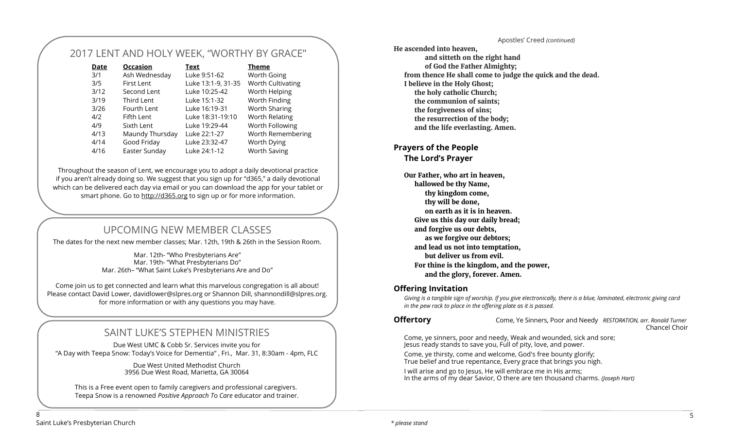#### Apostles' Creed *(continued)*

# 2017 LENT AND HOLY WEEK, "WORTHY BY GRACE"

| <b>Occasion</b> | Text               | <b>Theme</b>        |
|-----------------|--------------------|---------------------|
| Ash Wednesday   | Luke 9:51-62       | <b>Worth Going</b>  |
| First Lent      | Luke 13:1-9, 31-35 | Worth Cultivating   |
| Second Lent     | Luke 10:25-42      | Worth Helping       |
| Third Lent      | Luke 15:1-32       | Worth Finding       |
| Fourth Lent     | Luke 16:19-31      | Worth Sharing       |
| Fifth Lent      | Luke 18:31-19:10   | Worth Relating      |
| Sixth Lent      | Luke 19:29-44      | Worth Following     |
| Maundy Thursday | Luke 22:1-27       | Worth Remembering   |
| Good Friday     | Luke 23:32-47      | Worth Dying         |
| Easter Sunday   | Luke 24:1-12       | <b>Worth Saving</b> |
|                 |                    |                     |

Throughout the season of Lent, we encourage you to adopt a daily devotional practice if you aren't already doing so. We suggest that you sign up for "d365," a daily devotional which can be delivered each day via email or you can download the app for your tablet or smart phone. Go to <http://d365.org> to sign up or for more information.

# UPCOMING NEW MEMBER CLASSES

The dates for the next new member classes; Mar. 12th, 19th & 26th in the Session Room.

Mar. 12th- "Who Presbyterians Are" Mar. 19th- "What Presbyterians Do" Mar. 26th– "What Saint Luke's Presbyterians Are and Do"

Come join us to get connected and learn what this marvelous congregation is all about! Please contact David Lower, davidlower@slpres.org or Shannon Dill, shannondill@slpres.org. for more information or with any questions you may have.

# SAINT LUKE'S STEPHEN MINISTRIES

Due West UMC & Cobb Sr. Services invite you for "A Day with Teepa Snow: Today's Voice for Dementia" , Fri., Mar. 31, 8:30am - 4pm, FLC

> Due West United Methodist Church 3956 Due West Road, Marietta, GA 30064

This is a Free event open to family caregivers and professional caregivers. Teepa Snow is a renowned *Positive Approach T*o *Care* educator and trainer. **He ascended into heaven, and sitteth on the right hand of God the Father Almighty; from thence He shall come to judge the quick and the dead. I believe in the Holy Ghost; the holy catholic Church; the communion of saints; the forgiveness of sins; the resurrection of the body; and the life everlasting. Amen.**

## **Prayers of the People**

**The Lord's Prayer**

**Our Father, who art in heaven, hallowed be thy Name, thy kingdom come, thy will be done, on earth as it is in heaven. Give us this day our daily bread; and forgive us our debts, as we forgive our debtors; and lead us not into temptation, but deliver us from evil. For thine is the kingdom, and the power, and the glory, forever. Amen.**

#### **Offering Invitation**

*Giving is a tangible sign of worship. If you give electronically, there is a blue, laminated, electronic giving card in the pew rack to place in the offering plate as it is passed.*

**Offertory** Come, Ye Sinners, Poor and Needy *RESTORATION, arr. Ronald Turner* Chancel Choir

Come, ye sinners, poor and needy, Weak and wounded, sick and sore; Jesus ready stands to save you, Full of pity, love, and power.

Come, ye thirsty, come and welcome, God's free bounty glorify; True belief and true repentance, Every grace that brings you nigh.

I will arise and go to Jesus, He will embrace me in His arms; In the arms of my dear Savior, O there are ten thousand charms. *(Joseph Hart)*